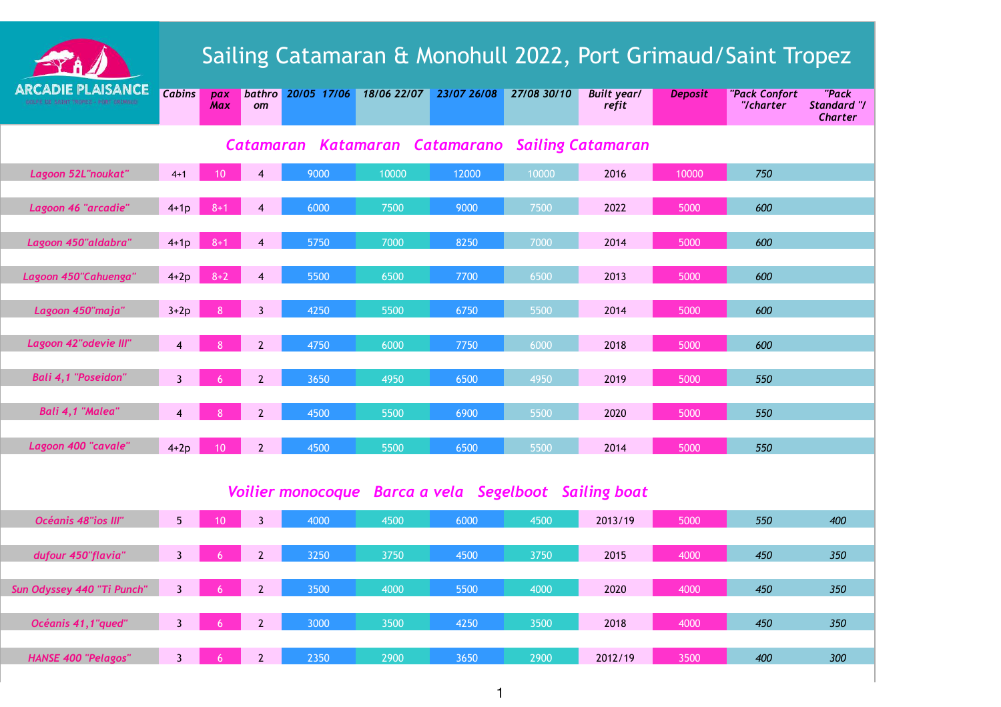|                                                                         | Sailing Catamaran & Monohull 2022, Port Grimaud/Saint Tropez |                 |                        |             |             |             |             |                             |                |                            |                                               |
|-------------------------------------------------------------------------|--------------------------------------------------------------|-----------------|------------------------|-------------|-------------|-------------|-------------|-----------------------------|----------------|----------------------------|-----------------------------------------------|
| <b>ARCADIE PLAISANCE</b><br>BOLFE DE SAINT TROPEZ - PORT GRIMAUD        | <b>Cabins</b>                                                | pax<br>Max      | bathro<br>om           | 20/05 17/06 | 18/06 22/07 | 23/07 26/08 | 27/08 30/10 | <b>Built year/</b><br>refit | <b>Deposit</b> | "Pack Confort<br>"/charter | "Pack<br><b>Standard "/</b><br><b>Charter</b> |
| <b>Sailing Catamaran</b><br>Katamaran<br>Catamarano<br><b>Catamaran</b> |                                                              |                 |                        |             |             |             |             |                             |                |                            |                                               |
| Lagoon 52L"noukat"                                                      | $4 + 1$                                                      | 10              | 4                      | 9000        | 10000       | 12000       | 10000       | 2016                        | 10000          | 750                        |                                               |
| Lagoon 46 "arcadie"                                                     | $4+1p$                                                       | $8 + 1$         | $\boldsymbol{\Lambda}$ | 6000        | 7500        | 9000        | 7500        | 2022                        | 5000           | 600                        |                                               |
| Lagoon 450" aldabra"                                                    | $4+1p$                                                       | $8 + 1$         | $\boldsymbol{\Lambda}$ | 5750        | 7000        | 8250        | 7000        | 2014                        | 5000           | 600                        |                                               |
| Lagoon 450"Cahuenga"                                                    | $4+2p$                                                       | $8 + 2$         | $\boldsymbol{\Lambda}$ | 5500        | 6500        | 7700        | 6500        | 2013                        | 5000           | 600                        |                                               |
| Lagoon 450"maja"                                                        | $3+2p$                                                       | 8               | $\overline{3}$         | 4250        | 5500        | 6750        | 5500        | 2014                        | 5000           | 600                        |                                               |
| Lagoon 42"odevie III"                                                   | $\overline{4}$                                               | 8               | $\overline{2}$         | 4750        | 6000        | 7750        | 6000        | 2018                        | 5000           | 600                        |                                               |
| <b>Bali 4,1 "Poseidon"</b>                                              | $\overline{3}$                                               | 6               | $\overline{2}$         | 3650        | 4950        | 6500        | 4950        | 2019                        | 5000           | 550                        |                                               |
| Bali 4,1 "Malea"                                                        | $\overline{4}$                                               |                 | $\overline{2}$         | 4500        | 5500        | 6900        | 5500        | 2020                        | 5000           | 550                        |                                               |
|                                                                         |                                                              |                 |                        |             |             |             |             |                             |                |                            |                                               |
| Lagoon 400 "cavale"                                                     | $4+2p$                                                       | 10 <sup>°</sup> | $\overline{2}$         | 4500        | 5500        | 6500        | 5500        | 2014                        | 5000           | 550                        |                                               |
| Voilier monocoque Barca a vela Segelboot Sailing boat                   |                                                              |                 |                        |             |             |             |             |                             |                |                            |                                               |
| Océanis 48"ios III"                                                     | 5 <sup>1</sup>                                               |                 |                        | 4000        | 4500        | 6000        | 4500        | 2013/19                     | 5000           | 550                        | 400                                           |
| dufour 450"flavia"                                                      | $\mathbf{3}$                                                 |                 | $\overline{2}$         | 3250        | 3750        | 4500        | 3750        | 2015                        | 4000           | 450                        | 350                                           |
| Sun Odyssey 440 "Ti Punch"                                              | $\overline{3}$                                               |                 | $\overline{2}$         | 3500        | 4000        | 5500        | 4000        | 2020                        | 4000           | 450                        | 350                                           |
| Océanis 41,1"qued"                                                      | $\overline{3}$                                               |                 | $\overline{2}$         | 3000        | 3500        | 4250        | 3500        | 2018                        | 4000           | 450                        | 350                                           |
| <b>HANSE 400 "Pelagos"</b>                                              | $\overline{3}$                                               | 6               | $2^{\circ}$            | 2350        | 2900        | 3650        | 2900        | 2012/19                     | 3500           | 400                        | 300                                           |